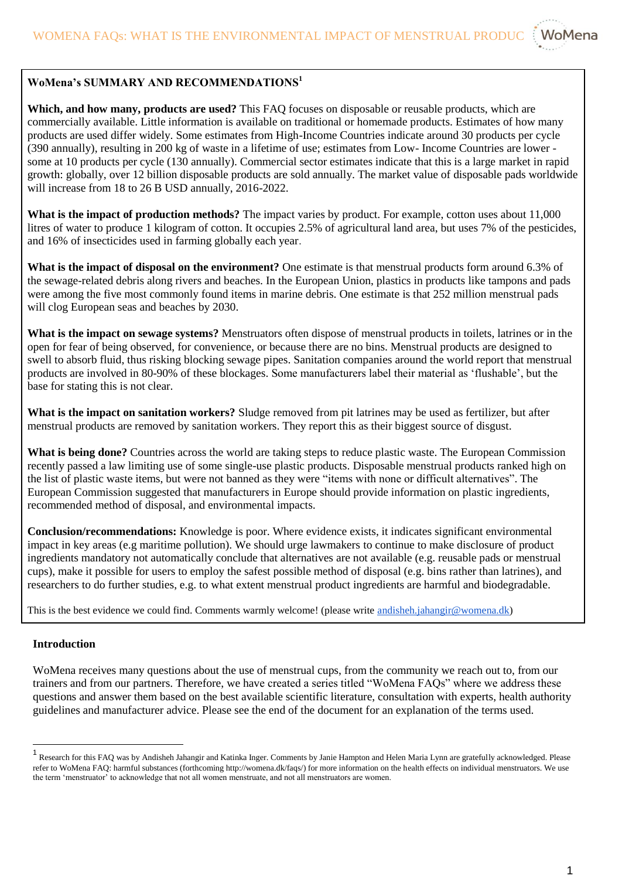

## **WoMena's SUMMARY AND RECOMMENDATIONS<sup>1</sup>**

**Which, and how many, products are used?** This FAQ focuses on disposable or reusable products, which are commercially available. Little information is available on traditional or homemade products. Estimates of how many products are used differ widely. Some estimates from High-Income Countries indicate around 30 products per cycle (390 annually), resulting in 200 kg of waste in a lifetime of use; estimates from Low- Income Countries are lower some at 10 products per cycle (130 annually). Commercial sector estimates indicate that this is a large market in rapid growth: globally, over 12 billion disposable products are sold annually. The market value of disposable pads worldwide will increase from 18 to 26 B USD annually, 2016-2022.

**What is the impact of production methods?** The impact varies by product. For example, cotton uses about 11,000 litres of water to produce 1 kilogram of cotton. It occupies 2.5% of agricultural land area, but uses 7% of the pesticides, and 16% of insecticides used in farming globally each year.

**What is the impact of disposal on the environment?** One estimate is that menstrual products form around 6.3% of the sewage-related debris along rivers and beaches. In the European Union, plastics in products like tampons and pads were among the five most commonly found items in marine debris. One estimate is that 252 million menstrual pads will clog European seas and beaches by 2030.

**What is the impact on sewage systems?** Menstruators often dispose of menstrual products in toilets, latrines or in the open for fear of being observed, for convenience, or because there are no bins. Menstrual products are designed to swell to absorb fluid, thus risking blocking sewage pipes. Sanitation companies around the world report that menstrual products are involved in 80-90% of these blockages. Some manufacturers label their material as 'flushable', but the base for stating this is not clear.

**What is the impact on sanitation workers?** Sludge removed from pit latrines may be used as fertilizer, but after menstrual products are removed by sanitation workers. They report this as their biggest source of disgust.

**What is being done?** Countries across the world are taking steps to reduce plastic waste. The European Commission recently passed a law limiting use of some single-use plastic products. Disposable menstrual products ranked high on the list of plastic waste items, but were not banned as they were "items with none or difficult alternatives". The European Commission suggested that manufacturers in Europe should provide information on plastic ingredients, recommended method of disposal, and environmental impacts.

**Conclusion/recommendations:** Knowledge is poor. Where evidence exists, it indicates significant environmental impact in key areas (e.g maritime pollution). We should urge lawmakers to continue to make disclosure of product ingredients mandatory not automatically conclude that alternatives are not available (e.g. reusable pads or menstrual cups), make it possible for users to employ the safest possible method of disposal (e.g. bins rather than latrines), and researchers to do further studies, e.g. to what extent menstrual product ingredients are harmful and biodegradable.

This is the best evidence we could find. Comments warmly welcome! (please write [andisheh.jahangir@womena.dk\)](mailto:andisheh.jahangir@womena.dk)

## **Introduction**

WoMena receives many questions about the use of menstrual cups, from the community we reach out to, from our trainers and from our partners. Therefore, we have created a series titled "WoMena FAQs" where we address these questions and answer them based on the best available scientific literature, consultation with experts, health authority guidelines and manufacturer advice. Please see the end of the document for an explanation of the terms used.

<sup>&</sup>lt;sup>1</sup> Research for this FAQ was by Andisheh Jahangir and Katinka Inger. Comments by Janie Hampton and Helen Maria Lynn are gratefully acknowledged. Please refer to WoMena FAQ: harmful substances (forthcoming http://womena.dk/faqs/) for more information on the health effects on individual menstruators. We use the term 'menstruator' to acknowledge that not all women menstruate, and not all menstruators are women.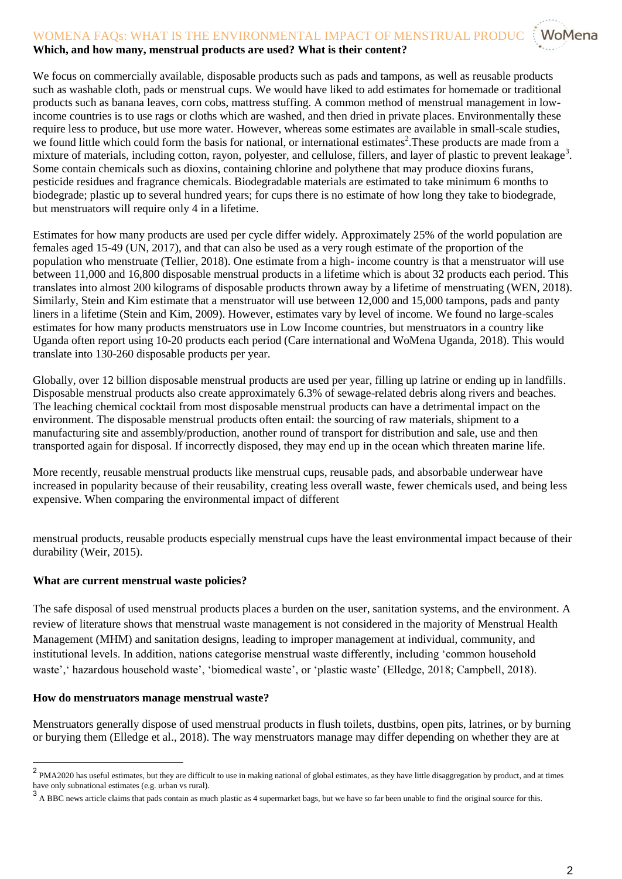# WOMENA FAQs: WHAT IS THE ENVIRONMENTAL IMPACT OF MENSTRUAL PRODUC

## **Which, and how many, menstrual products are used? What is their content?**

We focus on commercially available, disposable products such as pads and tampons, as well as reusable products such as washable cloth, pads or menstrual cups. We would have liked to add estimates for homemade or traditional products such as banana leaves, corn cobs, mattress stuffing. A common method of menstrual management in lowincome countries is to use rags or cloths which are washed, and then dried in private places. Environmentally these require less to produce, but use more water. However, whereas some estimates are available in small-scale studies, we found little which could form the basis for national, or international estimates<sup>2</sup>. These products are made from a mixture of materials, including cotton, rayon, polyester, and cellulose, fillers, and layer of plastic to prevent leakage<sup>3</sup>. Some contain chemicals such as dioxins, containing chlorine and polythene that may produce dioxins furans, pesticide residues and fragrance chemicals. Biodegradable materials are estimated to take minimum 6 months to biodegrade; plastic up to several hundred years; for cups there is no estimate of how long they take to biodegrade, but menstruators will require only 4 in a lifetime.

Estimates for how many products are used per cycle differ widely. Approximately 25% of the world population are females aged 15-49 (UN, 2017), and that can also be used as a very rough estimate of the proportion of the population who menstruate (Tellier, 2018). One estimate from a high- income country is that a menstruator will use between 11,000 and 16,800 disposable menstrual products in a lifetime which is about 32 products each period. This translates into almost 200 kilograms of disposable products thrown away by a lifetime of menstruating (WEN, 2018). Similarly, Stein and Kim estimate that a menstruator will use between 12,000 and 15,000 tampons, pads and panty liners in a lifetime (Stein and Kim, 2009). However, estimates vary by level of income. We found no large-scales estimates for how many products menstruators use in Low Income countries, but menstruators in a country like Uganda often report using 10-20 products each period (Care international and WoMena Uganda, 2018). This would translate into 130-260 disposable products per year.

Globally, over 12 billion disposable menstrual products are used per year, filling up latrine or ending up in landfills. Disposable menstrual products also create approximately 6.3% of sewage-related debris along rivers and beaches. The leaching chemical cocktail from most disposable menstrual products can have a detrimental impact on the environment. The disposable menstrual products often entail: the sourcing of raw materials, shipment to a manufacturing site and assembly/production, another round of transport for distribution and sale, use and then transported again for disposal. If incorrectly disposed, they may end up in the ocean which threaten marine life.

More recently, reusable menstrual products like menstrual cups, reusable pads, and absorbable underwear have increased in popularity because of their reusability, creating less overall waste, fewer chemicals used, and being less expensive. When comparing the environmental impact of different

menstrual products, reusable products especially menstrual cups have the least environmental impact because of their durability (Weir, 2015).

#### **What are current menstrual waste policies?**

The safe disposal of used menstrual products places a burden on the user, sanitation systems, and the environment. A review of literature shows that menstrual waste management is not considered in the majority of Menstrual Health Management (MHM) and sanitation designs, leading to improper management at individual, community, and institutional levels. In addition, nations categorise menstrual waste differently, including 'common household waste', 'hazardous household waste', 'biomedical waste', or 'plastic waste' (Elledge, 2018; Campbell, 2018).

#### **How do menstruators manage menstrual waste?**

Menstruators generally dispose of used menstrual products in flush toilets, dustbins, open pits, latrines, or by burning or burying them (Elledge et al., 2018). The way menstruators manage may differ depending on whether they are at

<sup>&</sup>lt;sup>2</sup> PMA2020 has useful estimates, but they are difficult to use in making national of global estimates, as they have little disaggregation by product, and at times have only subnational estimates (e.g. urban vs rural).

<sup>3</sup> A BBC news article claims that pads contain as much plastic as 4 supermarket bags, but we have so far been unable to find the original source for this.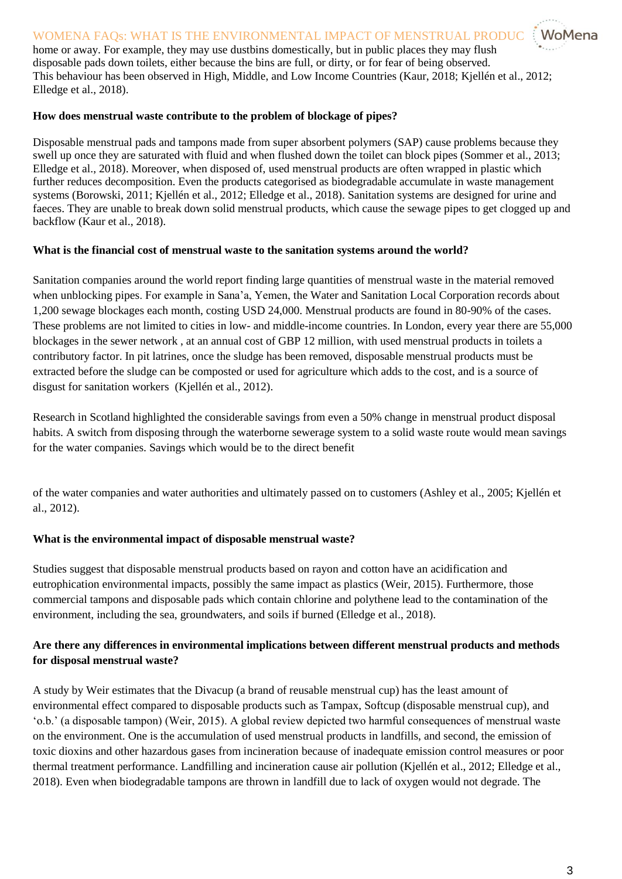## WOMENA FAQs: WHAT IS THE ENVIRONMENTAL IMPACT OF MENSTRUAL PRODUC

home or away. For example, they may use dustbins domestically, but in public places they may flush disposable pads down toilets, either because the bins are full, or dirty, or for fear of being observed. This behaviour has been observed in High, Middle, and Low Income Countries (Kaur, 2018; Kjellén et al., 2012; Elledge et al., 2018).

#### **How does menstrual waste contribute to the problem of blockage of pipes?**

Disposable menstrual pads and tampons made from super absorbent polymers (SAP) cause problems because they swell up once they are saturated with fluid and when flushed down the toilet can block pipes (Sommer et al., 2013; Elledge et al., 2018). Moreover, when disposed of, used menstrual products are often wrapped in plastic which further reduces decomposition. Even the products categorised as biodegradable accumulate in waste management systems (Borowski, 2011; Kjellén et al., 2012; Elledge et al., 2018). Sanitation systems are designed for urine and faeces. They are unable to break down solid menstrual products, which cause the sewage pipes to get clogged up and backflow (Kaur et al., 2018).

#### **What is the financial cost of menstrual waste to the sanitation systems around the world?**

Sanitation companies around the world report finding large quantities of menstrual waste in the material removed when unblocking pipes. For example in Sana'a, Yemen, the Water and Sanitation Local Corporation records about 1,200 sewage blockages each month, costing USD 24,000. Menstrual products are found in 80-90% of the cases. These problems are not limited to cities in low- and middle-income countries. In London, every year there are 55,000 blockages in the sewer network , at an annual cost of GBP 12 million, with used menstrual products in toilets a contributory factor. In pit latrines, once the sludge has been removed, disposable menstrual products must be extracted before the sludge can be composted or used for agriculture which adds to the cost, and is a source of disgust for sanitation workers (Kjellén et al., 2012).

Research in Scotland highlighted the considerable savings from even a 50% change in menstrual product disposal habits. A switch from disposing through the waterborne sewerage system to a solid waste route would mean savings for the water companies. Savings which would be to the direct benefit

of the water companies and water authorities and ultimately passed on to customers (Ashley et al., 2005; Kjellén et al., 2012).

### **What is the environmental impact of disposable menstrual waste?**

Studies suggest that disposable menstrual products based on rayon and cotton have an acidification and eutrophication environmental impacts, possibly the same impact as plastics (Weir, 2015). Furthermore, those commercial tampons and disposable pads which contain chlorine and polythene lead to the contamination of the environment, including the sea, groundwaters, and soils if burned (Elledge et al., 2018).

## **Are there any differences in environmental implications between different menstrual products and methods for disposal menstrual waste?**

A study by Weir estimates that the Divacup (a brand of reusable menstrual cup) has the least amount of environmental effect compared to disposable products such as Tampax, Softcup (disposable menstrual cup), and 'o.b.' (a disposable tampon) (Weir, 2015). A global review depicted two harmful consequences of menstrual waste on the environment. One is the accumulation of used menstrual products in landfills, and second, the emission of toxic dioxins and other hazardous gases from incineration because of inadequate emission control measures or poor thermal treatment performance. Landfilling and incineration cause air pollution (Kjellén et al., 2012; Elledge et al., 2018). Even when biodegradable tampons are thrown in landfill due to lack of oxygen would not degrade. The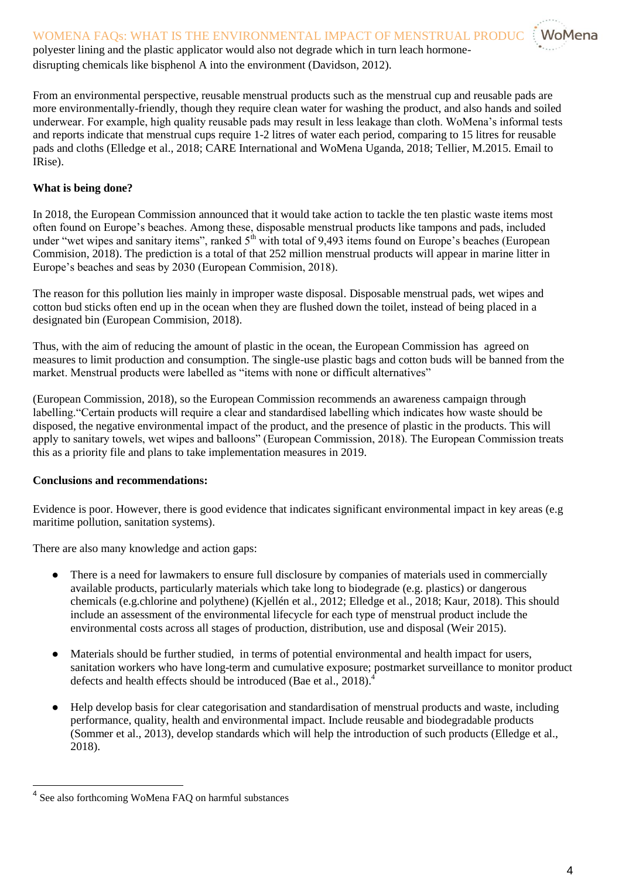disrupting chemicals like bisphenol A into the environment (Davidson, 2012).

From an environmental perspective, reusable menstrual products such as the menstrual cup and reusable pads are more environmentally-friendly, though they require clean water for washing the product, and also hands and soiled underwear. For example, high quality reusable pads may result in less leakage than cloth. WoMena's informal tests and reports indicate that menstrual cups require 1-2 litres of water each period, comparing to 15 litres for reusable pads and cloths (Elledge et al., 2018; CARE International and WoMena Uganda, 2018; Tellier, M.2015. Email to IRise).

## **What is being done?**

In 2018, the European Commission announced that it would take action to tackle the ten plastic waste items most often found on Europe's beaches. Among these, disposable menstrual products like tampons and pads, included under "wet wipes and sanitary items", ranked 5<sup>th</sup> with total of 9,493 items found on Europe's beaches (European Commision, 2018). The prediction is a total of that 252 million menstrual products will appear in marine litter in Europe's beaches and seas by 2030 (European Commision, 2018).

The reason for this pollution lies mainly in improper waste disposal. Disposable menstrual pads, wet wipes and cotton bud sticks often end up in the ocean when they are flushed down the toilet, instead of being placed in a designated bin (European Commision, 2018).

Thus, with the aim of reducing the amount of plastic in the ocean, the European Commission has agreed on measures to limit production and consumption. The single-use plastic bags and cotton buds will be banned from the market. Menstrual products were labelled as "items with none or difficult alternatives"

(European Commission, 2018), so the European Commission recommends an awareness campaign through labelling."Certain products will require a clear and standardised labelling which indicates how waste should be disposed, the negative environmental impact of the product, and the presence of plastic in the products. This will apply to sanitary towels, wet wipes and balloons" (European Commission, 2018). The European Commission treats this as a priority file and plans to take implementation measures in 2019.

### **Conclusions and recommendations:**

Evidence is poor. However, there is good evidence that indicates significant environmental impact in key areas (e.g maritime pollution, sanitation systems).

There are also many knowledge and action gaps:

- There is a need for lawmakers to ensure full disclosure by companies of materials used in commercially available products, particularly materials which take long to biodegrade (e.g. plastics) or dangerous chemicals (e.g.chlorine and polythene) (Kjellén et al., 2012; Elledge et al., 2018; Kaur, 2018). This should include an assessment of the environmental lifecycle for each type of menstrual product include the environmental costs across all stages of production, distribution, use and disposal (Weir 2015).
- Materials should be further studied, in terms of potential environmental and health impact for users, sanitation workers who have long-term and cumulative exposure; postmarket surveillance to monitor product defects and health effects should be introduced (Bae et al., 2018).
- Help develop basis for clear categorisation and standardisation of menstrual products and waste, including performance, quality, health and environmental impact. Include reusable and biodegradable products (Sommer et al., 2013), develop standards which will help the introduction of such products (Elledge et al., 2018).

 4 See also forthcoming WoMena FAQ on harmful substances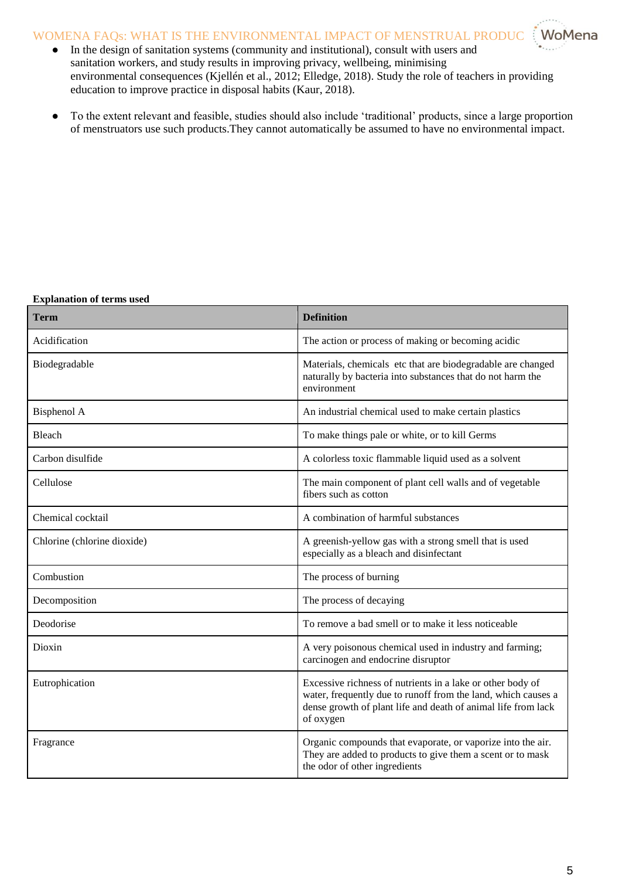## WOMENA FAQs: WHAT IS THE ENVIRONMENTAL IMPACT OF MENSTRUAL PRODUC \: WoMena

- In the design of sanitation systems (community and institutional), consult with users and sanitation workers, and study results in improving privacy, wellbeing, minimising environmental consequences (Kjellén et al., 2012; Elledge, 2018). Study the role of teachers in providing education to improve practice in disposal habits (Kaur, 2018).
- To the extent relevant and feasible, studies should also include 'traditional' products, since a large proportion of menstruators use such products.They cannot automatically be assumed to have no environmental impact.

#### **Explanation of terms used**

| Term                        | <b>Definition</b>                                                                                                                                                                                         |
|-----------------------------|-----------------------------------------------------------------------------------------------------------------------------------------------------------------------------------------------------------|
| Acidification               | The action or process of making or becoming acidic                                                                                                                                                        |
| Biodegradable               | Materials, chemicals etc that are biodegradable are changed<br>naturally by bacteria into substances that do not harm the<br>environment                                                                  |
| Bisphenol A                 | An industrial chemical used to make certain plastics                                                                                                                                                      |
| Bleach                      | To make things pale or white, or to kill Germs                                                                                                                                                            |
| Carbon disulfide            | A colorless toxic flammable liquid used as a solvent                                                                                                                                                      |
| Cellulose                   | The main component of plant cell walls and of vegetable<br>fibers such as cotton                                                                                                                          |
| Chemical cocktail           | A combination of harmful substances                                                                                                                                                                       |
| Chlorine (chlorine dioxide) | A greenish-yellow gas with a strong smell that is used<br>especially as a bleach and disinfectant                                                                                                         |
| Combustion                  | The process of burning                                                                                                                                                                                    |
| Decomposition               | The process of decaying                                                                                                                                                                                   |
| Deodorise                   | To remove a bad smell or to make it less noticeable                                                                                                                                                       |
| Dioxin                      | A very poisonous chemical used in industry and farming;<br>carcinogen and endocrine disruptor                                                                                                             |
| Eutrophication              | Excessive richness of nutrients in a lake or other body of<br>water, frequently due to runoff from the land, which causes a<br>dense growth of plant life and death of animal life from lack<br>of oxygen |
| Fragrance                   | Organic compounds that evaporate, or vaporize into the air.<br>They are added to products to give them a scent or to mask<br>the odor of other ingredients                                                |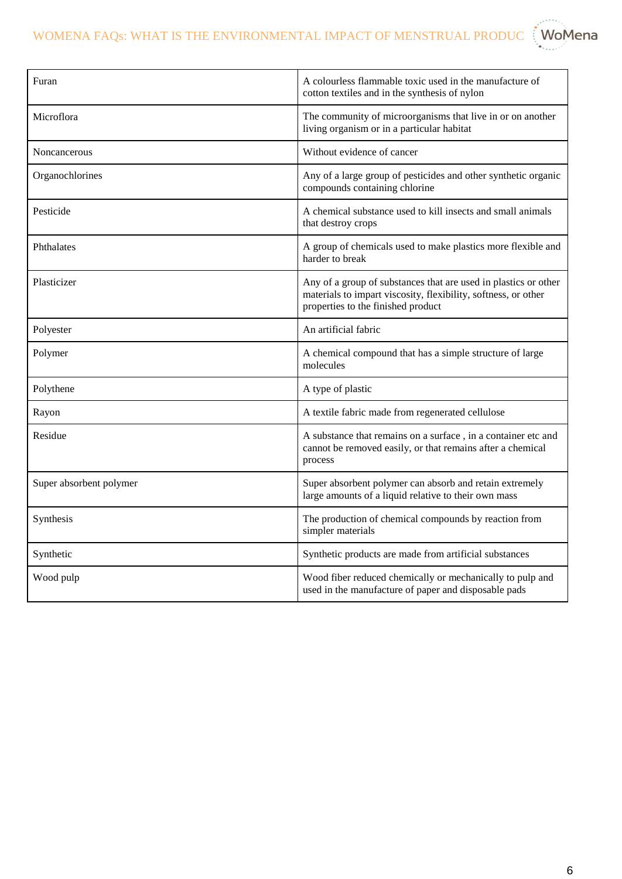WOMENA FAQs: WHAT IS THE ENVIRONMENTAL IMPACT OF MENSTRUAL PRODUC  $\ddot{\ddot{\text{}}}$  WoMena

| Furan                   | A colourless flammable toxic used in the manufacture of<br>cotton textiles and in the synthesis of nylon                                                                |
|-------------------------|-------------------------------------------------------------------------------------------------------------------------------------------------------------------------|
| Microflora              | The community of microorganisms that live in or on another<br>living organism or in a particular habitat                                                                |
| Noncancerous            | Without evidence of cancer                                                                                                                                              |
| Organochlorines         | Any of a large group of pesticides and other synthetic organic<br>compounds containing chlorine                                                                         |
| Pesticide               | A chemical substance used to kill insects and small animals<br>that destroy crops                                                                                       |
| Phthalates              | A group of chemicals used to make plastics more flexible and<br>harder to break                                                                                         |
| Plasticizer             | Any of a group of substances that are used in plastics or other<br>materials to impart viscosity, flexibility, softness, or other<br>properties to the finished product |
| Polyester               | An artificial fabric                                                                                                                                                    |
| Polymer                 | A chemical compound that has a simple structure of large<br>molecules                                                                                                   |
| Polythene               | A type of plastic                                                                                                                                                       |
| Rayon                   | A textile fabric made from regenerated cellulose                                                                                                                        |
| Residue                 | A substance that remains on a surface, in a container etc and<br>cannot be removed easily, or that remains after a chemical<br>process                                  |
| Super absorbent polymer | Super absorbent polymer can absorb and retain extremely<br>large amounts of a liquid relative to their own mass                                                         |
| Synthesis               | The production of chemical compounds by reaction from<br>simpler materials                                                                                              |
| Synthetic               | Synthetic products are made from artificial substances                                                                                                                  |
| Wood pulp               | Wood fiber reduced chemically or mechanically to pulp and<br>used in the manufacture of paper and disposable pads                                                       |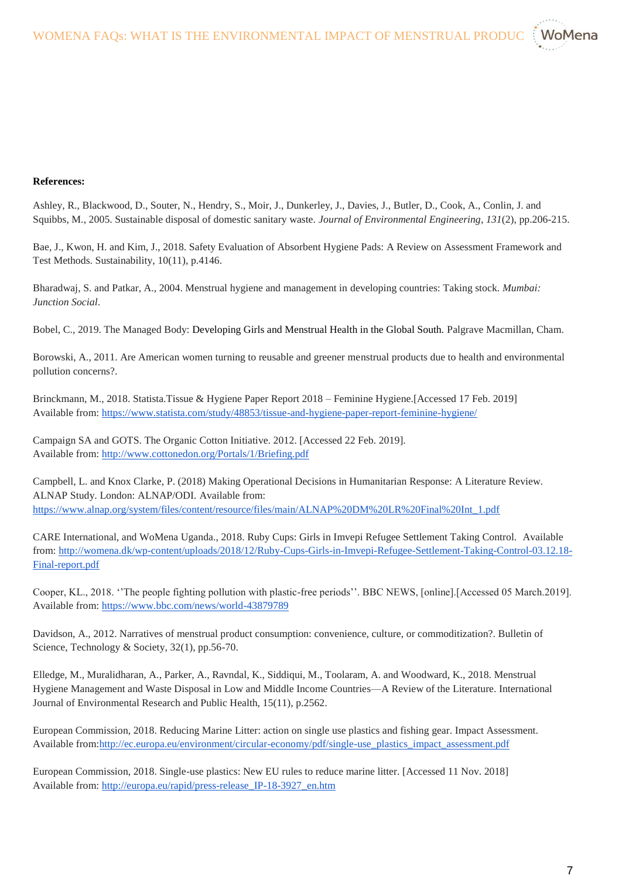

## **References:**

Ashley, R., Blackwood, D., Souter, N., Hendry, S., Moir, J., Dunkerley, J., Davies, J., Butler, D., Cook, A., Conlin, J. and Squibbs, M., 2005. Sustainable disposal of domestic sanitary waste. *Journal of Environmental Engineering*, *131*(2), pp.206-215.

Bae, J., Kwon, H. and Kim, J., 2018. Safety Evaluation of Absorbent Hygiene Pads: A Review on Assessment Framework and Test Methods. Sustainability, 10(11), p.4146.

Bharadwaj, S. and Patkar, A., 2004. Menstrual hygiene and management in developing countries: Taking stock. *Mumbai: Junction Social*.

Bobel, C., 2019. The Managed Body: Developing Girls and Menstrual Health in the Global South. Palgrave Macmillan, Cham.

Borowski, A., 2011. Are American women turning to reusable and greener menstrual products due to health and environmental pollution concerns?.

Brinckmann, M., 2018. Statista.Tissue & Hygiene Paper Report 2018 – Feminine Hygiene.[Accessed 17 Feb. 2019] Available from[: https://www.statista.com/study/48853/tissue-and-hygiene-paper-report-feminine-hygiene/](https://www.statista.com/study/48853/tissue-and-hygiene-paper-report-feminine-hygiene/)

Campaign SA and GOTS. The Organic Cotton Initiative. 2012. [Accessed 22 Feb. 2019]. Available from[: http://www.cottonedon.org/Portals/1/Briefing.pdf](http://www.cottonedon.org/Portals/1/Briefing.pdf)

Campbell, L. and Knox Clarke, P. (2018) Making Operational Decisions in Humanitarian Response: A Literature Review. ALNAP Study. London: ALNAP/ODI. [Available from:](https://www.alnap.org/system/files/content/resource/files/main/ALNAP%20DM%20LR%20Final%20Int_1.pdf)  [https://www.alnap.org/system/files/content/resource/files/main/ALNAP%20DM%20LR%20Final%20Int\\_1.pdf](https://www.alnap.org/system/files/content/resource/files/main/ALNAP%20DM%20LR%20Final%20Int_1.pdf)

CARE International, and WoMena Uganda., 2018. Ruby Cups: Girls in Imvepi Refugee Settlement Taking Control[. Available](http://womena.dk/wp-content/uploads/2018/12/Ruby-Cups-Girls-in-Imvepi-Refugee-Settlement-Taking-Control-03.12.18-Final-report.pdf)  [from: http://womena.dk/wp-content/uploads/2018/12/Ruby-Cups-Girls-in-Imvepi-Refugee-Settlement-Taking-Control-03.12.18-](http://womena.dk/wp-content/uploads/2018/12/Ruby-Cups-Girls-in-Imvepi-Refugee-Settlement-Taking-Control-03.12.18-Final-report.pdf) [Final-report.pdf](http://womena.dk/wp-content/uploads/2018/12/Ruby-Cups-Girls-in-Imvepi-Refugee-Settlement-Taking-Control-03.12.18-Final-report.pdf)

Cooper, KL., 2018. ''The people fighting pollution with plastic-free periods''. BBC NEWS, [online].[Accessed 05 March.2019]. Available from: <https://www.bbc.com/news/world-43879789>

Davidson, A., 2012. Narratives of menstrual product consumption: convenience, culture, or commoditization?. Bulletin of Science, Technology & Society, 32(1), pp.56-70.

Elledge, M., Muralidharan, A., Parker, A., Ravndal, K., Siddiqui, M., Toolaram, A. and Woodward, K., 2018. Menstrual Hygiene Management and Waste Disposal in Low and Middle Income Countries—A Review of the Literature. International Journal of Environmental Research and Public Health, 15(11), p.2562.

European Commission, 2018. Reducing Marine Litter: action on single use plastics and fishing gear. Impact Assessment. Available from[:http://ec.europa.eu/environment/circular-economy/pdf/single-use\\_plastics\\_impact\\_assessment.pdf](http://ec.europa.eu/environment/circular-economy/pdf/single-use_plastics_impact_assessment.pdf)

European Commission, 2018. Single-use plastics: New EU rules to reduce marine litter. [Accessed 11 Nov. 2018] Available from[: http://europa.eu/rapid/press-release\\_IP-18-3927\\_en.htm](http://europa.eu/rapid/press-release_IP-18-3927_en.htm)